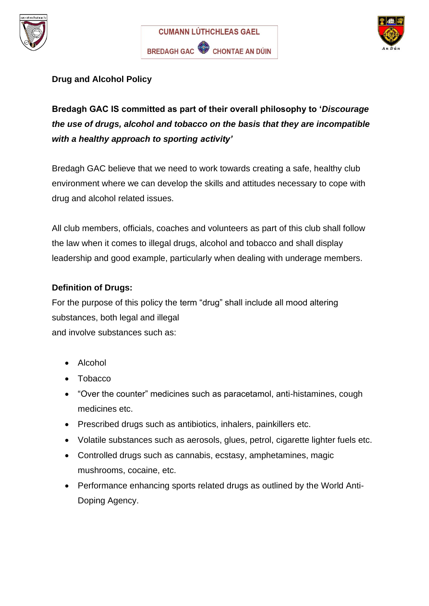





# **Drug and Alcohol Policy**

# **Bredagh GAC IS committed as part of their overall philosophy to '***Discourage the use of drugs, alcohol and tobacco on the basis that they are incompatible with a healthy approach to sporting activity'*

Bredagh GAC believe that we need to work towards creating a safe, healthy club environment where we can develop the skills and attitudes necessary to cope with drug and alcohol related issues.

All club members, officials, coaches and volunteers as part of this club shall follow the law when it comes to illegal drugs, alcohol and tobacco and shall display leadership and good example, particularly when dealing with underage members.

# **Definition of Drugs:**

For the purpose of this policy the term "drug" shall include all mood altering substances, both legal and illegal and involve substances such as:

- Alcohol
- Tobacco
- "Over the counter" medicines such as paracetamol, anti-histamines, cough medicines etc.
- Prescribed drugs such as antibiotics, inhalers, painkillers etc.
- Volatile substances such as aerosols, glues, petrol, cigarette lighter fuels etc.
- Controlled drugs such as cannabis, ecstasy, amphetamines, magic mushrooms, cocaine, etc.
- Performance enhancing sports related drugs as outlined by the World Anti-Doping Agency.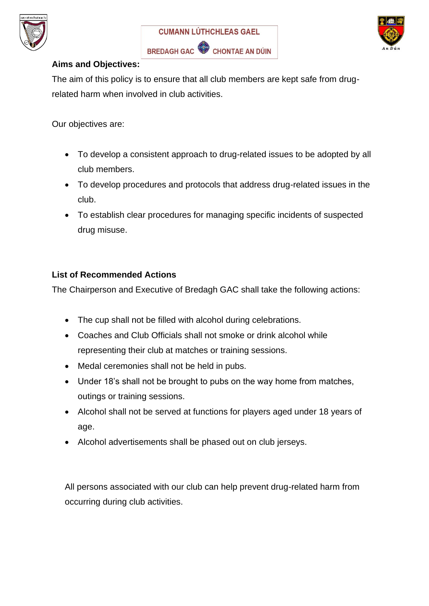





#### **Aims and Objectives:**

The aim of this policy is to ensure that all club members are kept safe from drugrelated harm when involved in club activities.

Our objectives are:

- To develop a consistent approach to drug-related issues to be adopted by all club members.
- To develop procedures and protocols that address drug-related issues in the club.
- To establish clear procedures for managing specific incidents of suspected drug misuse.

# **List of Recommended Actions**

The Chairperson and Executive of Bredagh GAC shall take the following actions:

- The cup shall not be filled with alcohol during celebrations.
- Coaches and Club Officials shall not smoke or drink alcohol while representing their club at matches or training sessions.
- Medal ceremonies shall not be held in pubs.
- Under 18's shall not be brought to pubs on the way home from matches, outings or training sessions.
- Alcohol shall not be served at functions for players aged under 18 years of age.
- Alcohol advertisements shall be phased out on club jerseys.

All persons associated with our club can help prevent drug-related harm from occurring during club activities.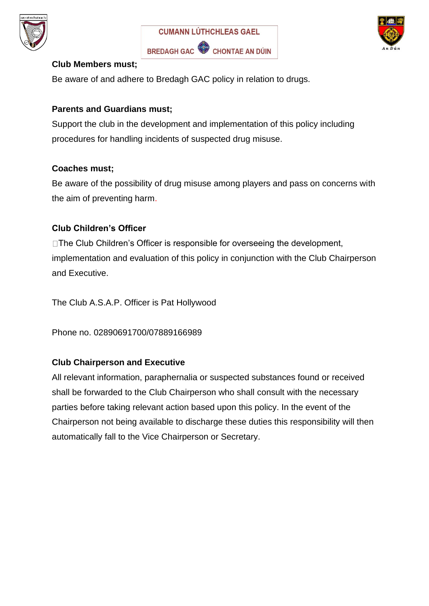





#### **Club Members must;**

Be aware of and adhere to Bredagh GAC policy in relation to drugs.

# **Parents and Guardians must;**

Support the club in the development and implementation of this policy including procedures for handling incidents of suspected drug misuse.

# **Coaches must;**

Be aware of the possibility of drug misuse among players and pass on concerns with the aim of preventing harm.

# **Club Children's Officer**

□The Club Children's Officer is responsible for overseeing the development, implementation and evaluation of this policy in conjunction with the Club Chairperson and Executive.

The Club A.S.A.P. Officer is Pat Hollywood

Phone no. 02890691700/07889166989

# **Club Chairperson and Executive**

All relevant information, paraphernalia or suspected substances found or received shall be forwarded to the Club Chairperson who shall consult with the necessary parties before taking relevant action based upon this policy. In the event of the Chairperson not being available to discharge these duties this responsibility will then automatically fall to the Vice Chairperson or Secretary.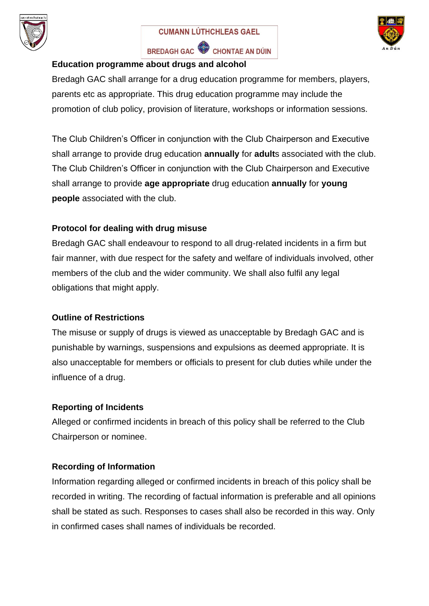

BREDAGH GAC CHONTAE AN DÚIN



#### **Education programme about drugs and alcohol**

Bredagh GAC shall arrange for a drug education programme for members, players, parents etc as appropriate. This drug education programme may include the promotion of club policy, provision of literature, workshops or information sessions.

The Club Children's Officer in conjunction with the Club Chairperson and Executive shall arrange to provide drug education **annually** for **adult**s associated with the club. The Club Children's Officer in conjunction with the Club Chairperson and Executive shall arrange to provide **age appropriate** drug education **annually** for **young people** associated with the club.

# **Protocol for dealing with drug misuse**

Bredagh GAC shall endeavour to respond to all drug-related incidents in a firm but fair manner, with due respect for the safety and welfare of individuals involved, other members of the club and the wider community. We shall also fulfil any legal obligations that might apply.

#### **Outline of Restrictions**

The misuse or supply of drugs is viewed as unacceptable by Bredagh GAC and is punishable by warnings, suspensions and expulsions as deemed appropriate. It is also unacceptable for members or officials to present for club duties while under the influence of a drug.

# **Reporting of Incidents**

Alleged or confirmed incidents in breach of this policy shall be referred to the Club Chairperson or nominee.

#### **Recording of Information**

Information regarding alleged or confirmed incidents in breach of this policy shall be recorded in writing. The recording of factual information is preferable and all opinions shall be stated as such. Responses to cases shall also be recorded in this way. Only in confirmed cases shall names of individuals be recorded.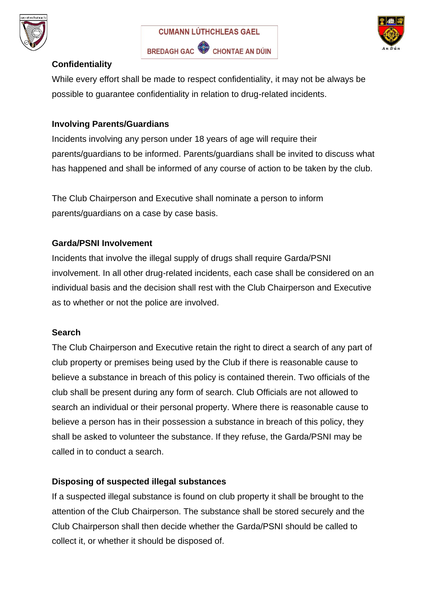





# **Confidentiality**

While every effort shall be made to respect confidentiality, it may not be always be possible to guarantee confidentiality in relation to drug-related incidents.

#### **Involving Parents/Guardians**

Incidents involving any person under 18 years of age will require their parents/guardians to be informed. Parents/guardians shall be invited to discuss what has happened and shall be informed of any course of action to be taken by the club.

The Club Chairperson and Executive shall nominate a person to inform parents/guardians on a case by case basis.

# **Garda/PSNI Involvement**

Incidents that involve the illegal supply of drugs shall require Garda/PSNI involvement. In all other drug-related incidents, each case shall be considered on an individual basis and the decision shall rest with the Club Chairperson and Executive as to whether or not the police are involved.

#### **Search**

The Club Chairperson and Executive retain the right to direct a search of any part of club property or premises being used by the Club if there is reasonable cause to believe a substance in breach of this policy is contained therein. Two officials of the club shall be present during any form of search. Club Officials are not allowed to search an individual or their personal property. Where there is reasonable cause to believe a person has in their possession a substance in breach of this policy, they shall be asked to volunteer the substance. If they refuse, the Garda/PSNI may be called in to conduct a search.

# **Disposing of suspected illegal substances**

If a suspected illegal substance is found on club property it shall be brought to the attention of the Club Chairperson. The substance shall be stored securely and the Club Chairperson shall then decide whether the Garda/PSNI should be called to collect it, or whether it should be disposed of.